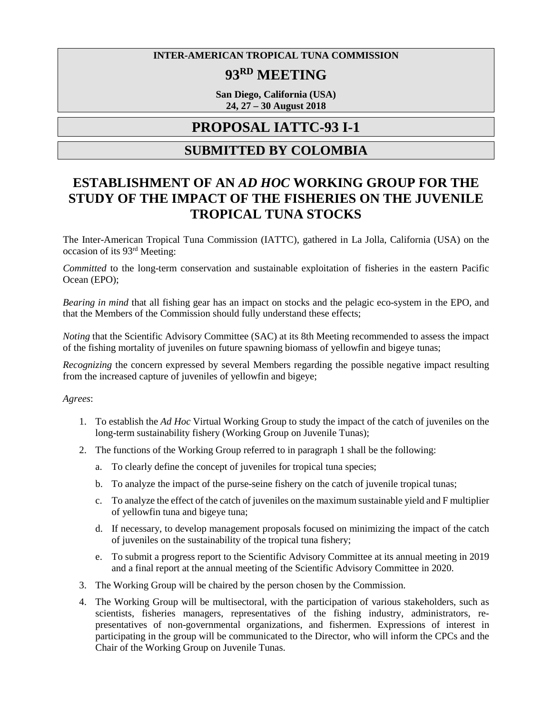#### **INTER-AMERICAN TROPICAL TUNA COMMISSION**

# **93RD MEETING**

**San Diego, California (USA) 24, 27 – 30 August 2018**

## **PROPOSAL IATTC-93 I-1**

### **SUBMITTED BY COLOMBIA**

# **ESTABLISHMENT OF AN** *AD HOC* **WORKING GROUP FOR THE STUDY OF THE IMPACT OF THE FISHERIES ON THE JUVENILE TROPICAL TUNA STOCKS**

The Inter-American Tropical Tuna Commission (IATTC), gathered in La Jolla, California (USA) on the occasion of its 93rd Meeting:

*Committed* to the long-term conservation and sustainable exploitation of fisheries in the eastern Pacific Ocean (EPO);

*Bearing in mind* that all fishing gear has an impact on stocks and the pelagic eco-system in the EPO, and that the Members of the Commission should fully understand these effects;

*Noting* that the Scientific Advisory Committee (SAC) at its 8th Meeting recommended to assess the impact of the fishing mortality of juveniles on future spawning biomass of yellowfin and bigeye tunas;

*Recognizing* the concern expressed by several Members regarding the possible negative impact resulting from the increased capture of juveniles of yellowfin and bigeye;

*Agrees*:

- 1. To establish the *Ad Hoc* Virtual Working Group to study the impact of the catch of juveniles on the long-term sustainability fishery (Working Group on Juvenile Tunas);
- 2. The functions of the Working Group referred to in paragraph 1 shall be the following:
	- a. To clearly define the concept of juveniles for tropical tuna species;
	- b. To analyze the impact of the purse-seine fishery on the catch of juvenile tropical tunas;
	- c. To analyze the effect of the catch of juveniles on the maximum sustainable yield and F multiplier of yellowfin tuna and bigeye tuna;
	- d. If necessary, to develop management proposals focused on minimizing the impact of the catch of juveniles on the sustainability of the tropical tuna fishery;
	- e. To submit a progress report to the Scientific Advisory Committee at its annual meeting in 2019 and a final report at the annual meeting of the Scientific Advisory Committee in 2020.
- 3. The Working Group will be chaired by the person chosen by the Commission.
- 4. The Working Group will be multisectoral, with the participation of various stakeholders, such as scientists, fisheries managers, representatives of the fishing industry, administrators, representatives of non-governmental organizations, and fishermen. Expressions of interest in participating in the group will be communicated to the Director, who will inform the CPCs and the Chair of the Working Group on Juvenile Tunas.